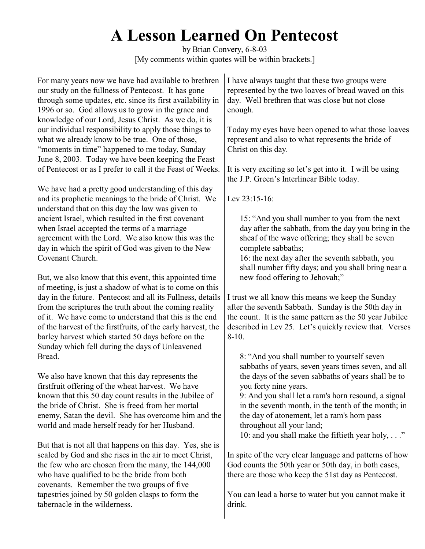## **A Lesson Learned On Pentecost**

by Brian Convery, 6-8-03 [My comments within quotes will be within brackets.]

For many years now we have had available to brethren our study on the fullness of Pentecost. It has gone through some updates, etc. since its first availability in 1996 or so. God allows us to grow in the grace and knowledge of our Lord, Jesus Christ. As we do, it is our individual responsibility to apply those things to what we already know to be true. One of those, "moments in time" happened to me today, Sunday June 8, 2003. Today we have been keeping the Feast of Pentecost or as I prefer to call it the Feast of Weeks.

We have had a pretty good understanding of this day and its prophetic meanings to the bride of Christ. We understand that on this day the law was given to ancient Israel, which resulted in the first covenant when Israel accepted the terms of a marriage agreement with the Lord. We also know this was the day in which the spirit of God was given to the New Covenant Church.

But, we also know that this event, this appointed time of meeting, is just a shadow of what is to come on this day in the future. Pentecost and all its Fullness, details from the scriptures the truth about the coming reality of it. We have come to understand that this is the end of the harvest of the firstfruits, of the early harvest, the barley harvest which started 50 days before on the Sunday which fell during the days of Unleavened Bread.

We also have known that this day represents the firstfruit offering of the wheat harvest. We have known that this 50 day count results in the Jubilee of the bride of Christ. She is freed from her mortal enemy, Satan the devil. She has overcome him and the world and made herself ready for her Husband.

But that is not all that happens on this day. Yes, she is sealed by God and she rises in the air to meet Christ, the few who are chosen from the many, the 144,000 who have qualified to be the bride from both covenants. Remember the two groups of five tapestries joined by 50 golden clasps to form the tabernacle in the wilderness.

I have always taught that these two groups were represented by the two loaves of bread waved on this day. Well brethren that was close but not close enough.

Today my eyes have been opened to what those loaves represent and also to what represents the bride of Christ on this day.

It is very exciting so let's get into it. I will be using the J.P. Green's Interlinear Bible today.

Lev 23:15-16:

15: "And you shall number to you from the next day after the sabbath, from the day you bring in the sheaf of the wave offering; they shall be seven complete sabbaths;

16: the next day after the seventh sabbath, you shall number fifty days; and you shall bring near a new food offering to Jehovah;"

I trust we all know this means we keep the Sunday after the seventh Sabbath. Sunday is the 50th day in the count. It is the same pattern as the 50 year Jubilee described in Lev 25. Let's quickly review that. Verses 8-10.

8: "And you shall number to yourself seven sabbaths of years, seven years times seven, and all the days of the seven sabbaths of years shall be to you forty nine years.

9: And you shall let a ram's horn resound, a signal in the seventh month, in the tenth of the month; in the day of atonement, let a ram's horn pass throughout all your land;

10: and you shall make the fiftieth year holy, . . ."

In spite of the very clear language and patterns of how God counts the 50th year or 50th day, in both cases, there are those who keep the 51st day as Pentecost.

You can lead a horse to water but you cannot make it drink.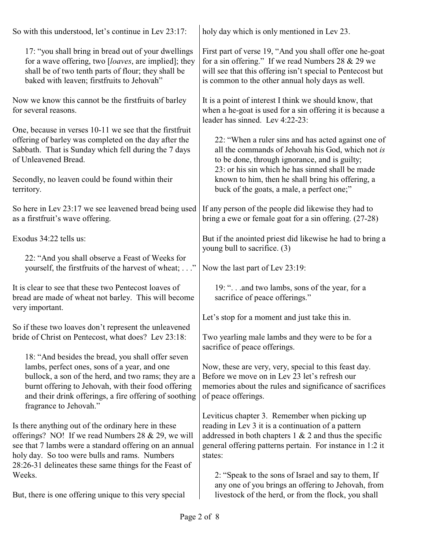| So with this understood, let's continue in Lev 23:17:                                                                                                                                                                                                                            | holy day which is only mentioned in Lev 23.                                                                                                                                                                                              |
|----------------------------------------------------------------------------------------------------------------------------------------------------------------------------------------------------------------------------------------------------------------------------------|------------------------------------------------------------------------------------------------------------------------------------------------------------------------------------------------------------------------------------------|
| 17: "you shall bring in bread out of your dwellings<br>for a wave offering, two [loaves, are implied]; they<br>shall be of two tenth parts of flour; they shall be<br>baked with leaven; firstfruits to Jehovah"                                                                 | First part of verse 19, "And you shall offer one he-goat<br>for a sin offering." If we read Numbers 28 $&$ 29 we<br>will see that this offering isn't special to Pentecost but<br>is common to the other annual holy days as well.       |
| Now we know this cannot be the first fruits of barley<br>for several reasons.                                                                                                                                                                                                    | It is a point of interest I think we should know, that<br>when a he-goat is used for a sin offering it is because a<br>leader has sinned. Lev 4:22-23:                                                                                   |
| One, because in verses 10-11 we see that the first fruit<br>offering of barley was completed on the day after the<br>Sabbath. That is Sunday which fell during the 7 days<br>of Unleavened Bread.                                                                                | 22: "When a ruler sins and has acted against one of<br>all the commands of Jehovah his God, which not is<br>to be done, through ignorance, and is guilty;<br>23: or his sin which he has sinned shall be made                            |
| Secondly, no leaven could be found within their<br>territory.                                                                                                                                                                                                                    | known to him, then he shall bring his offering, a<br>buck of the goats, a male, a perfect one;"                                                                                                                                          |
| So here in Lev 23:17 we see leavened bread being used<br>as a first fruit's wave offering.                                                                                                                                                                                       | If any person of the people did likewise they had to<br>bring a ewe or female goat for a sin offering. (27-28)                                                                                                                           |
| Exodus 34:22 tells us:                                                                                                                                                                                                                                                           | But if the anointed priest did likewise he had to bring a<br>young bull to sacrifice. (3)                                                                                                                                                |
| 22: "And you shall observe a Feast of Weeks for<br>yourself, the first fruits of the harvest of wheat; "                                                                                                                                                                         | Now the last part of Lev 23:19:                                                                                                                                                                                                          |
| It is clear to see that these two Pentecost loaves of<br>bread are made of wheat not barley. This will become<br>very important.                                                                                                                                                 | 19: " and two lambs, sons of the year, for a<br>sacrifice of peace offerings."                                                                                                                                                           |
|                                                                                                                                                                                                                                                                                  | Let's stop for a moment and just take this in.                                                                                                                                                                                           |
| So if these two loaves don't represent the unleavened<br>bride of Christ on Pentecost, what does? Lev 23:18:                                                                                                                                                                     | Two yearling male lambs and they were to be for a<br>sacrifice of peace offerings.                                                                                                                                                       |
| 18: "And besides the bread, you shall offer seven                                                                                                                                                                                                                                |                                                                                                                                                                                                                                          |
| lambs, perfect ones, sons of a year, and one<br>bullock, a son of the herd, and two rams; they are a<br>burnt offering to Jehovah, with their food offering<br>and their drink offerings, a fire offering of soothing<br>fragrance to Jehovah."                                  | Now, these are very, very, special to this feast day.<br>Before we move on in Lev 23 let's refresh our<br>memories about the rules and significance of sacrifices<br>of peace offerings.                                                 |
| Is there anything out of the ordinary here in these<br>offerings? NO! If we read Numbers 28 $&$ 29, we will<br>see that 7 lambs were a standard offering on an annual<br>holy day. So too were bulls and rams. Numbers<br>28:26-31 delineates these same things for the Feast of | Leviticus chapter 3. Remember when picking up<br>reading in Lev 3 it is a continuation of a pattern<br>addressed in both chapters $1 \& 2$ and thus the specific<br>general offering patterns pertain. For instance in 1:2 it<br>states: |
| Weeks.                                                                                                                                                                                                                                                                           | 2: "Speak to the sons of Israel and say to them, If<br>any one of you brings an offering to Jehovah, from                                                                                                                                |
| But, there is one offering unique to this very special                                                                                                                                                                                                                           | livestock of the herd, or from the flock, you shall                                                                                                                                                                                      |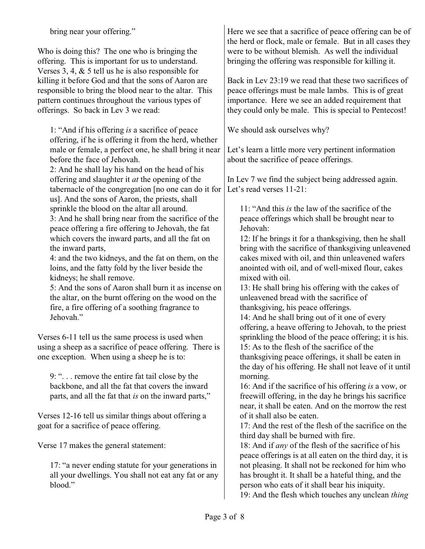bring near your offering."

Who is doing this? The one who is bringing the offering. This is important for us to understand. Verses 3, 4, & 5 tell us he is also responsible for killing it before God and that the sons of Aaron are responsible to bring the blood near to the altar. This pattern continues throughout the various types of offerings. So back in Lev 3 we read:

1: "And if his offering *is* a sacrifice of peace offering, if he is offering it from the herd, whether male or female, a perfect one, he shall bring it near before the face of Jehovah.

2: And he shall lay his hand on the head of his offering and slaughter it *at* the opening of the tabernacle of the congregation [no one can do it for us]. And the sons of Aaron, the priests, shall sprinkle the blood on the altar all around.

3: And he shall bring near from the sacrifice of the peace offering a fire offering to Jehovah, the fat which covers the inward parts, and all the fat on the inward parts,

4: and the two kidneys, and the fat on them, on the loins, and the fatty fold by the liver beside the kidneys; he shall remove.

5: And the sons of Aaron shall burn it as incense on the altar, on the burnt offering on the wood on the fire, a fire offering of a soothing fragrance to Jehovah"

Verses 6-11 tell us the same process is used when using a sheep as a sacrifice of peace offering. There is one exception. When using a sheep he is to:

9: ". . . remove the entire fat tail close by the backbone, and all the fat that covers the inward parts, and all the fat that *is* on the inward parts,"

Verses 12-16 tell us similar things about offering a goat for a sacrifice of peace offering.

Verse 17 makes the general statement:

17: "a never ending statute for your generations in all your dwellings. You shall not eat any fat or any blood."

Here we see that a sacrifice of peace offering can be of the herd or flock, male or female. But in all cases they were to be without blemish. As well the individual bringing the offering was responsible for killing it.

Back in Lev 23:19 we read that these two sacrifices of peace offerings must be male lambs. This is of great importance. Here we see an added requirement that they could only be male. This is special to Pentecost!

We should ask ourselves why?

Let's learn a little more very pertinent information about the sacrifice of peace offerings.

In Lev 7 we find the subject being addressed again. Let's read verses 11-21:

11: "And this *is* the law of the sacrifice of the peace offerings which shall be brought near to Jehovah:

12: If he brings it for a thanksgiving, then he shall bring with the sacrifice of thanksgiving unleavened cakes mixed with oil, and thin unleavened wafers anointed with oil, and of well-mixed flour, cakes mixed with oil.

13: He shall bring his offering with the cakes of unleavened bread with the sacrifice of thanksgiving, his peace offerings.

14: And he shall bring out of it one of every offering, a heave offering to Jehovah, to the priest sprinkling the blood of the peace offering; it is his. 15: As to the flesh of the sacrifice of the thanksgiving peace offerings, it shall be eaten in the day of his offering. He shall not leave of it until morning.

16: And if the sacrifice of his offering *is* a vow, or freewill offering, in the day he brings his sacrifice near, it shall be eaten. And on the morrow the rest of it shall also be eaten.

17: And the rest of the flesh of the sacrifice on the third day shall be burned with fire.

18: And if *any* of the flesh of the sacrifice of his peace offerings is at all eaten on the third day, it is not pleasing. It shall not be reckoned for him who has brought it. It shall be a hateful thing, and the person who eats of it shall bear his iniquity.

19: And the flesh which touches any unclean *thing*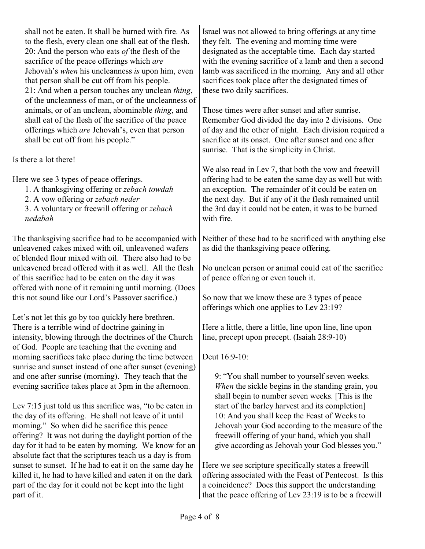shall not be eaten. It shall be burned with fire. As to the flesh, every clean one shall eat of the flesh. 20: And the person who eats *of* the flesh of the sacrifice of the peace offerings which *are* Jehovah's *when* his uncleanness *is* upon him, even that person shall be cut off from his people. 21: And when a person touches any unclean *thing*, of the uncleanness of man, or of the uncleanness of animals, or of an unclean, abominable *thing*, and shall eat of the flesh of the sacrifice of the peace offerings which *are* Jehovah's, even that person shall be cut off from his people."

Is there a lot there!

Here we see 3 types of peace offerings.

- 1. A thanksgiving offering or *zebach towdah*
- 2. A vow offering or *zebach neder*

3. A voluntary or freewill offering or *zebach nedabah*

The thanksgiving sacrifice had to be accompanied with unleavened cakes mixed with oil, unleavened wafers of blended flour mixed with oil. There also had to be unleavened bread offered with it as well. All the flesh of this sacrifice had to be eaten on the day it was offered with none of it remaining until morning. (Does this not sound like our Lord's Passover sacrifice.)

Let's not let this go by too quickly here brethren. There is a terrible wind of doctrine gaining in intensity, blowing through the doctrines of the Church of God. People are teaching that the evening and morning sacrifices take place during the time between sunrise and sunset instead of one after sunset (evening) and one after sunrise (morning). They teach that the evening sacrifice takes place at 3pm in the afternoon.

Lev 7:15 just told us this sacrifice was, "to be eaten in the day of its offering. He shall not leave of it until morning." So when did he sacrifice this peace offering? It was not during the daylight portion of the day for it had to be eaten by morning. We know for an absolute fact that the scriptures teach us a day is from sunset to sunset. If he had to eat it on the same day he killed it, he had to have killed and eaten it on the dark part of the day for it could not be kept into the light part of it.

Israel was not allowed to bring offerings at any time they felt. The evening and morning time were designated as the acceptable time. Each day started with the evening sacrifice of a lamb and then a second lamb was sacrificed in the morning. Any and all other sacrifices took place after the designated times of these two daily sacrifices.

Those times were after sunset and after sunrise. Remember God divided the day into 2 divisions. One of day and the other of night. Each division required a sacrifice at its onset. One after sunset and one after sunrise. That is the simplicity in Christ.

We also read in Lev 7, that both the vow and freewill offering had to be eaten the same day as well but with an exception. The remainder of it could be eaten on the next day. But if any of it the flesh remained until the 3rd day it could not be eaten, it was to be burned with fire.

Neither of these had to be sacrificed with anything else as did the thanksgiving peace offering.

No unclean person or animal could eat of the sacrifice of peace offering or even touch it.

So now that we know these are 3 types of peace offerings which one applies to Lev 23:19?

Here a little, there a little, line upon line, line upon line, precept upon precept. (Isaiah 28:9-10)

Deut 16:9-10:

9: "You shall number to yourself seven weeks. *When* the sickle begins in the standing grain, you shall begin to number seven weeks. [This is the start of the barley harvest and its completion] 10: And you shall keep the Feast of Weeks to Jehovah your God according to the measure of the freewill offering of your hand, which you shall give according as Jehovah your God blesses you."

Here we see scripture specifically states a freewill offering associated with the Feast of Pentecost. Is this a coincidence? Does this support the understanding that the peace offering of Lev 23:19 is to be a freewill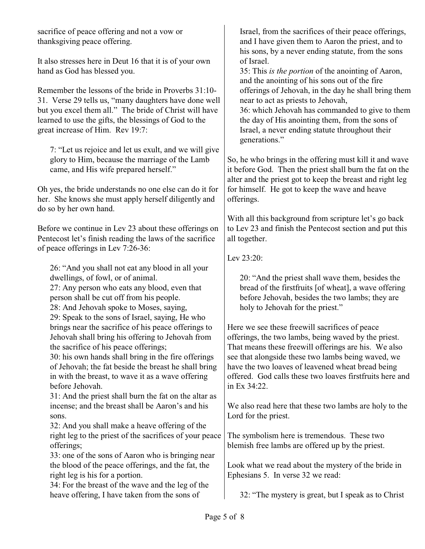sacrifice of peace offering and not a vow or thanksgiving peace offering.

It also stresses here in Deut 16 that it is of your own hand as God has blessed you.

Remember the lessons of the bride in Proverbs 31:10- 31. Verse 29 tells us, "many daughters have done well but you excel them all." The bride of Christ will have learned to use the gifts, the blessings of God to the great increase of Him. Rev 19:7:

7: "Let us rejoice and let us exult, and we will give glory to Him, because the marriage of the Lamb came, and His wife prepared herself."

Oh yes, the bride understands no one else can do it for her. She knows she must apply herself diligently and do so by her own hand.

Before we continue in Lev 23 about these offerings on Pentecost let's finish reading the laws of the sacrifice of peace offerings in Lev 7:26-36:

26: "And you shall not eat any blood in all your dwellings, of fowl, or of animal.

27: Any person who eats any blood, even that person shall be cut off from his people.

28: And Jehovah spoke to Moses, saying,

29: Speak to the sons of Israel, saying, He who brings near the sacrifice of his peace offerings to Jehovah shall bring his offering to Jehovah from the sacrifice of his peace offerings;

30: his own hands shall bring in the fire offerings of Jehovah; the fat beside the breast he shall bring in with the breast, to wave it as a wave offering before Jehovah.

31: And the priest shall burn the fat on the altar as incense; and the breast shall be Aaron's and his sons.

32: And you shall make a heave offering of the right leg to the priest of the sacrifices of your peace offerings;

33: one of the sons of Aaron who is bringing near the blood of the peace offerings, and the fat, the right leg is his for a portion.

34: For the breast of the wave and the leg of the heave offering, I have taken from the sons of

Israel, from the sacrifices of their peace offerings, and I have given them to Aaron the priest, and to his sons, by a never ending statute, from the sons of Israel.

35: This *is the portion* of the anointing of Aaron, and the anointing of his sons out of the fire offerings of Jehovah, in the day he shall bring them near to act as priests to Jehovah,

36: which Jehovah has commanded to give to them the day of His anointing them, from the sons of Israel, a never ending statute throughout their generations."

So, he who brings in the offering must kill it and wave it before God. Then the priest shall burn the fat on the alter and the priest got to keep the breast and right leg for himself. He got to keep the wave and heave offerings.

With all this background from scripture let's go back to Lev 23 and finish the Pentecost section and put this all together.

Lev 23:20:

20: "And the priest shall wave them, besides the bread of the firstfruits [of wheat], a wave offering before Jehovah, besides the two lambs; they are holy to Jehovah for the priest."

Here we see these freewill sacrifices of peace offerings, the two lambs, being waved by the priest. That means these freewill offerings are his. We also see that alongside these two lambs being waved, we have the two loaves of leavened wheat bread being offered. God calls these two loaves firstfruits here and in Ex 34:22.

We also read here that these two lambs are holy to the Lord for the priest.

The symbolism here is tremendous. These two blemish free lambs are offered up by the priest.

Look what we read about the mystery of the bride in Ephesians 5. In verse 32 we read:

32: "The mystery is great, but I speak as to Christ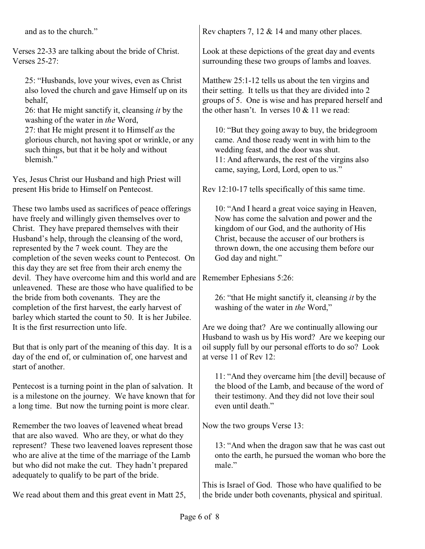and as to the church."

Verses 22-33 are talking about the bride of Christ. Verses 25-27:

25: "Husbands, love your wives, even as Christ also loved the church and gave Himself up on its behalf,

26: that He might sanctify it, cleansing *it* by the washing of the water in *the* Word,

27: that He might present it to Himself *as* the glorious church, not having spot or wrinkle, or any such things, but that it be holy and without blemish."

Yes, Jesus Christ our Husband and high Priest will present His bride to Himself on Pentecost.

These two lambs used as sacrifices of peace offerings have freely and willingly given themselves over to Christ. They have prepared themselves with their Husband's help, through the cleansing of the word, represented by the 7 week count. They are the completion of the seven weeks count to Pentecost. On this day they are set free from their arch enemy the devil. They have overcome him and this world and are unleavened. These are those who have qualified to be the bride from both covenants. They are the completion of the first harvest, the early harvest of barley which started the count to 50. It is her Jubilee. It is the first resurrection unto life.

But that is only part of the meaning of this day. It is a day of the end of, or culmination of, one harvest and start of another.

Pentecost is a turning point in the plan of salvation. It is a milestone on the journey. We have known that for a long time. But now the turning point is more clear.

Remember the two loaves of leavened wheat bread that are also waved. Who are they, or what do they represent? These two leavened loaves represent those who are alive at the time of the marriage of the Lamb but who did not make the cut. They hadn't prepared adequately to qualify to be part of the bride.

We read about them and this great event in Matt 25,

Rev chapters 7, 12 & 14 and many other places.

Look at these depictions of the great day and events surrounding these two groups of lambs and loaves.

Matthew 25:1-12 tells us about the ten virgins and their setting. It tells us that they are divided into 2 groups of 5. One is wise and has prepared herself and the other hasn't. In verses  $10 \& 11$  we read:

10: "But they going away to buy, the bridegroom came. And those ready went in with him to the wedding feast, and the door was shut. 11: And afterwards, the rest of the virgins also came, saying, Lord, Lord, open to us."

Rev 12:10-17 tells specifically of this same time.

10: "And I heard a great voice saying in Heaven, Now has come the salvation and power and the kingdom of our God, and the authority of His Christ, because the accuser of our brothers is thrown down, the one accusing them before our God day and night."

Remember Ephesians 5:26:

26: "that He might sanctify it, cleansing *it* by the washing of the water in *the* Word,"

Are we doing that? Are we continually allowing our Husband to wash us by His word? Are we keeping our oil supply full by our personal efforts to do so? Look at verse 11 of Rev 12:

11: "And they overcame him [the devil] because of the blood of the Lamb, and because of the word of their testimony. And they did not love their soul even until death."

Now the two groups Verse 13:

13: "And when the dragon saw that he was cast out onto the earth, he pursued the woman who bore the male."

This is Israel of God. Those who have qualified to be the bride under both covenants, physical and spiritual.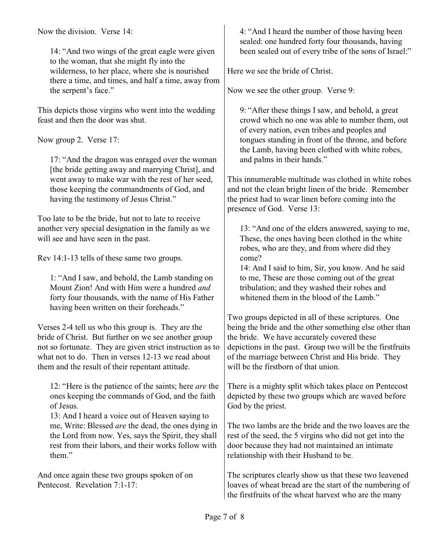Now the division. Verse 14:

14: "And two wings of the great eagle were given to the woman, that she might fly into the wilderness, to her place, where she is nourished there a time, and times, and half a time, away from the serpent's face."

This depicts those virgins who went into the wedding feast and then the door was shut.

Now group 2. Verse 17:

17: "And the dragon was enraged over the woman [the bride getting away and marrying Christ], and went away to make war with the rest of her seed, those keeping the commandments of God, and having the testimony of Jesus Christ."

Too late to be the bride, but not to late to receive another very special designation in the family as we will see and have seen in the past.

Rev 14:1-13 tells of these same two groups.

1: "And I saw, and behold, the Lamb standing on Mount Zion! And with Him were a hundred *and* forty four thousands, with the name of His Father having been written on their foreheads."

Verses 2-4 tell us who this group is. They are the bride of Christ. But further on we see another group not so fortunate. They are given strict instruction as to what not to do. Then in verses 12-13 we read about them and the result of their repentant attitude.

12: "Here is the patience of the saints; here *are* the ones keeping the commands of God, and the faith of Jesus.

13: And I heard a voice out of Heaven saying to me, Write: Blessed *are* the dead, the ones dying in the Lord from now. Yes, says the Spirit, they shall rest from their labors, and their works follow with them."

And once again these two groups spoken of on Pentecost. Revelation 7:1-17:

4: "And I heard the number of those having been sealed: one hundred forty four thousands, having been sealed out of every tribe of the sons of Israel:"

Here we see the bride of Christ.

Now we see the other group. Verse 9:

9: "After these things I saw, and behold, a great crowd which no one was able to number them, out of every nation, even tribes and peoples and tongues standing in front of the throne, and before the Lamb, having been clothed with white robes, and palms in their hands."

This innumerable multitude was clothed in white robes and not the clean bright linen of the bride. Remember the priest had to wear linen before coming into the presence of God. Verse 13:

13: "And one of the elders answered, saying to me, These, the ones having been clothed in the white robes, who are they, and from where did they come?

14: And I said to him, Sir, you know. And he said to me, These are those coming out of the great tribulation; and they washed their robes and whitened them in the blood of the Lamb."

Two groups depicted in all of these scriptures. One being the bride and the other something else other than the bride. We have accurately covered these depictions in the past. Group two will be the firstfruits of the marriage between Christ and His bride. They will be the firstborn of that union.

There is a mighty split which takes place on Pentecost depicted by these two groups which are waved before God by the priest.

The two lambs are the bride and the two loaves are the rest of the seed, the 5 virgins who did not get into the door because they had not maintained an intimate relationship with their Husband to be.

The scriptures clearly show us that these two leavened loaves of wheat bread are the start of the numbering of the firstfruits of the wheat harvest who are the many